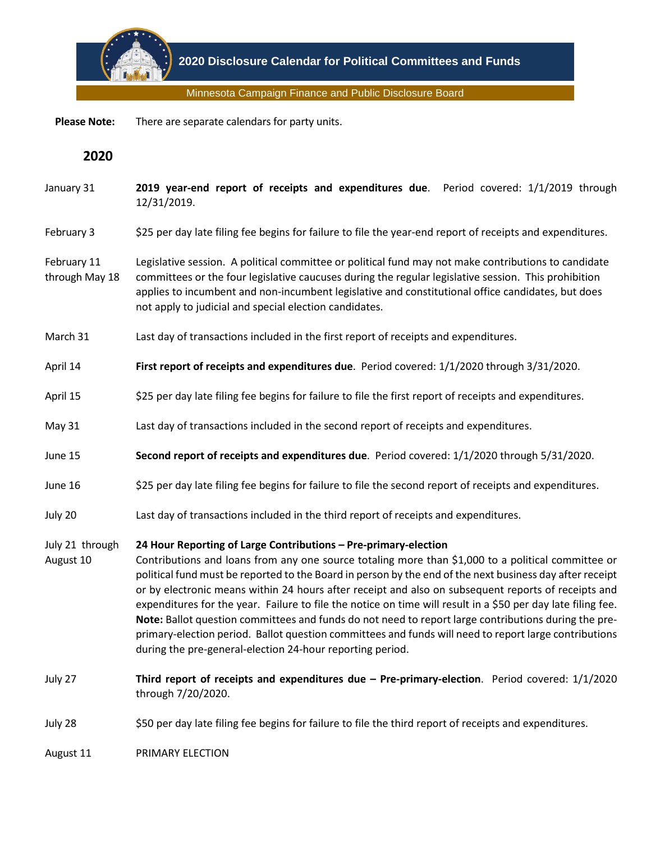

Minnesota Campaign Finance and Public Disclosure Board

 **Please Note:** There are separate calendars for party units.

**2020**

- January 31 **2019 year-end report of receipts and expenditures due**. Period covered: 1/1/2019 through 12/31/2019.
- February 3 \$25 per day late filing fee begins for failure to file the year-end report of receipts and expenditures.
- February 11 through May 18 Legislative session. A political committee or political fund may not make contributions to candidate committees or the four legislative caucuses during the regular legislative session. This prohibition applies to incumbent and non-incumbent legislative and constitutional office candidates, but does not apply to judicial and special election candidates.
- March 31 Last day of transactions included in the first report of receipts and expenditures.
- April 14 **First report of receipts and expenditures due**. Period covered: 1/1/2020 through 3/31/2020.
- April 15 \$25 per day late filing fee begins for failure to file the first report of receipts and expenditures.
- May 31 Last day of transactions included in the second report of receipts and expenditures.
- June 15 **Second report of receipts and expenditures due**. Period covered: 1/1/2020 through 5/31/2020.
- June 16 \$25 per day late filing fee begins for failure to file the second report of receipts and expenditures.
- July 20 Last day of transactions included in the third report of receipts and expenditures.

## July 21 through **24 Hour Reporting of Large Contributions – Pre-primary-election**

- August 10 Contributions and loans from any one source totaling more than \$1,000 to a political committee or political fund must be reported to the Board in person by the end of the next business day after receipt or by electronic means within 24 hours after receipt and also on subsequent reports of receipts and expenditures for the year. Failure to file the notice on time will result in a \$50 per day late filing fee. **Note:** Ballot question committees and funds do not need to report large contributions during the preprimary-election period. Ballot question committees and funds will need to report large contributions during the pre-general-election 24-hour reporting period.
- July 27 **Third report of receipts and expenditures due – Pre-primary-election**. Period covered: 1/1/2020 through 7/20/2020.
- July 28 \$50 per day late filing fee begins for failure to file the third report of receipts and expenditures.

August 11 PRIMARY ELECTION